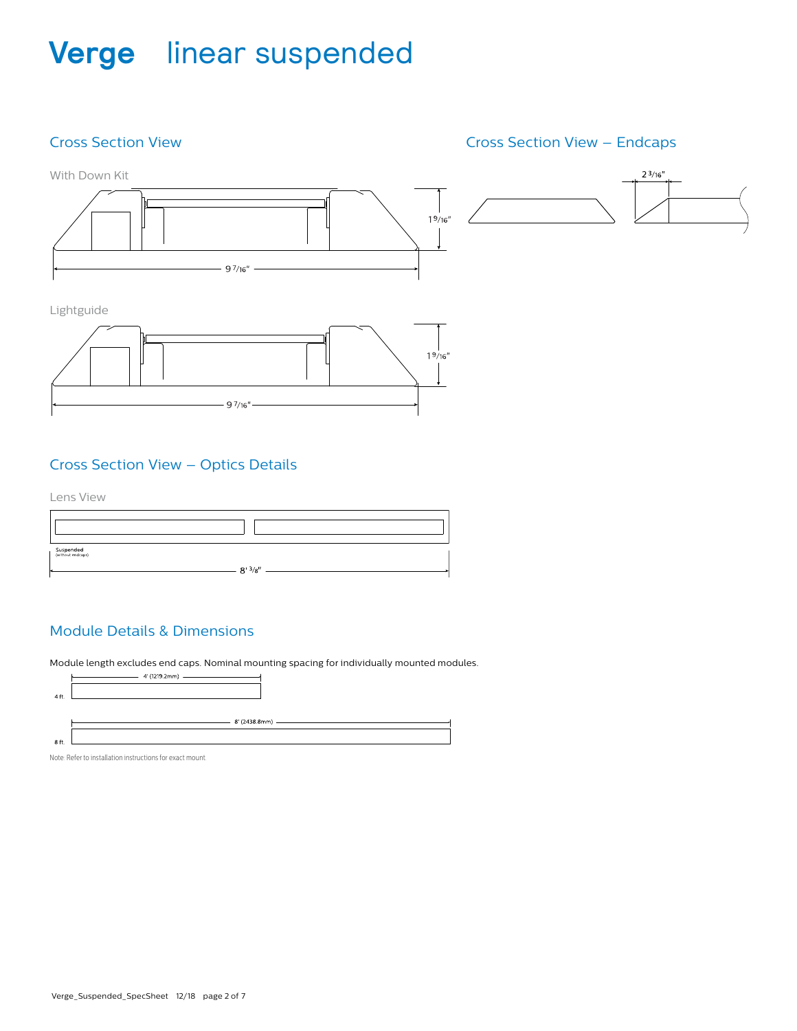### Cross Section View

### Cross Section View – Endcaps



Lightguide



### Cross Section View – Optics Details

Lens View

| Suspended<br>  (without endcaps)<br>$-8'3/8''$ |  |
|------------------------------------------------|--|
|                                                |  |

### Module Details & Dimensions

Module length excludes end caps. Nominal mounting spacing for individually mounted modules.



Note: Refer to installation instructions for exact mount.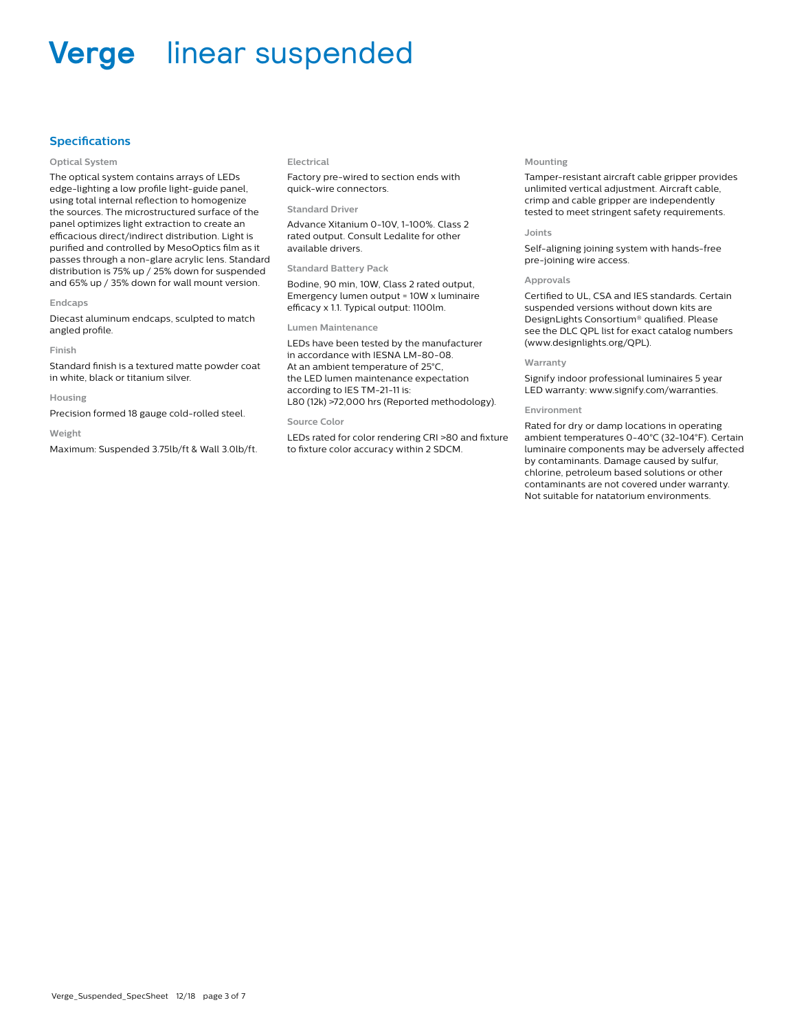#### **Specifications**

#### **Optical System**

The optical system contains arrays of LEDs edge-lighting a low profile light-guide panel, using total internal reflection to homogenize the sources. The microstructured surface of the panel optimizes light extraction to create an efficacious direct/indirect distribution. Light is purified and controlled by MesoOptics film as it passes through a non-glare acrylic lens. Standard distribution is 75% up / 25% down for suspended and 65% up / 35% down for wall mount version.

#### **Endcaps**

Diecast aluminum endcaps, sculpted to match angled profile.

#### **Finish**

Standard finish is a textured matte powder coat in white, black or titanium silver.

#### **Housing**

Precision formed 18 gauge cold-rolled steel.

#### **Weight**

Maximum: Suspended 3.75lb/ft & Wall 3.0lb/ft.

#### **Electrical**

Factory pre-wired to section ends with quick-wire connectors.

#### **Standard Driver**

Advance Xitanium 0-10V, 1-100%. Class 2 rated output. Consult Ledalite for other available drivers.

#### **Standard Battery Pack**

Bodine, 90 min, 10W, Class 2 rated output, Emergency lumen output = 10W x luminaire efficacy x 1.1. Typical output: 1100lm.

#### **Lumen Maintenance**

LEDs have been tested by the manufacturer in accordance with IESNA LM-80-08. At an ambient temperature of 25°C, the LED lumen maintenance expectation according to IES TM-21-11 is: L80 (12k) >72,000 hrs (Reported methodology).

#### **Source Color**

LEDs rated for color rendering CRI >80 and fixture to fixture color accuracy within 2 SDCM.

#### **Mounting**

Tamper-resistant aircraft cable gripper provides unlimited vertical adjustment. Aircraft cable, crimp and cable gripper are independently tested to meet stringent safety requirements.

#### **Joints**

Self-aligning joining system with hands-free pre-joining wire access.

#### **Approvals**

Certified to UL, CSA and IES standards. Certain suspended versions without down kits are DesignLights Consortium® qualified. Please see the DLC QPL list for exact catalog numbers (www.designlights.org/QPL).

#### **Warranty**

Signify indoor professional luminaires 5 year LED warranty: www.signify.com/warranties.

#### **Environment**

Rated for dry or damp locations in operating ambient temperatures 0-40°C (32-104°F). Certain luminaire components may be adversely affected by contaminants. Damage caused by sulfur, chlorine, petroleum based solutions or other contaminants are not covered under warranty. Not suitable for natatorium environments.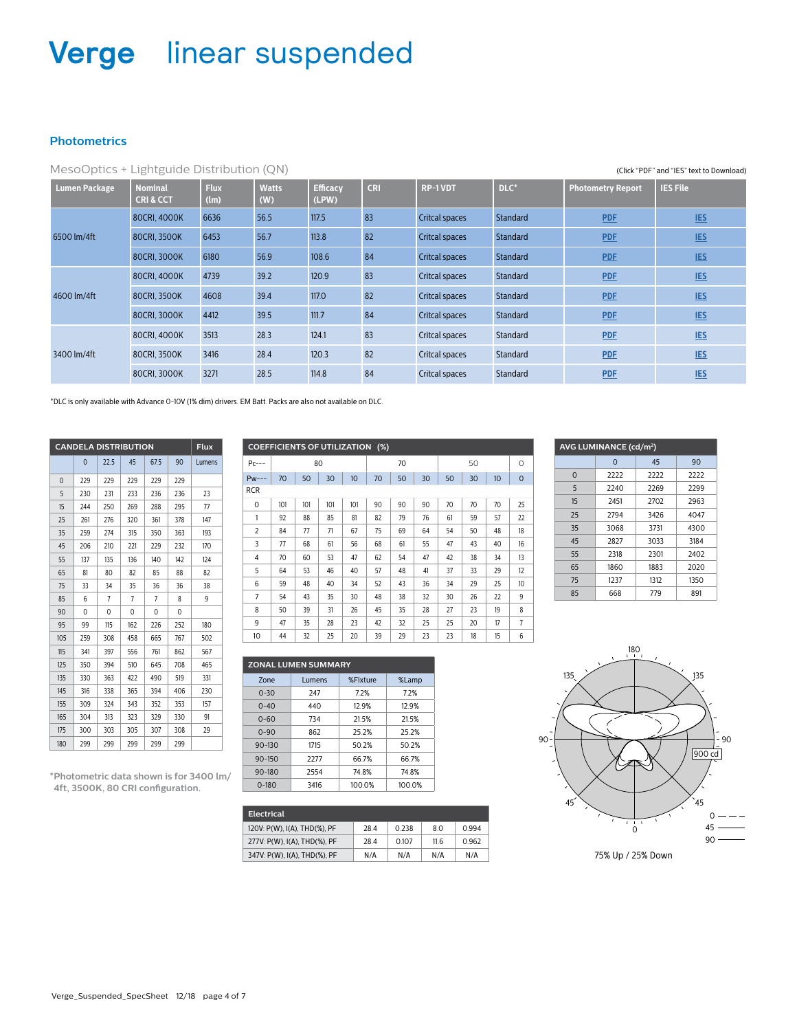#### **Photometrics**

|                      | MesoOptics + Lightguide Distribution (QN)<br>(Click "PDF" and "IES" text to Download) |                     |                     |                          |            |                       |          |                          |                 |  |  |
|----------------------|---------------------------------------------------------------------------------------|---------------------|---------------------|--------------------------|------------|-----------------------|----------|--------------------------|-----------------|--|--|
| <b>Lumen Package</b> | <b>Nominal</b><br><b>CRI&amp;CCT</b>                                                  | <b>Flux</b><br>(lm) | <b>Watts</b><br>(W) | <b>Efficacy</b><br>(LPW) | <b>CRI</b> | <b>RP-1VDT</b>        | DLC*     | <b>Photometry Report</b> | <b>IES File</b> |  |  |
|                      | 80CRI, 4000K                                                                          | 6636                | 56.5                | 117.5                    | 83         | <b>Critcal spaces</b> | Standard | <b>PDF</b>               | <b>IES</b>      |  |  |
| 6500 lm/4ft          | 80CRI, 3500K                                                                          | 6453                | 56.7                | 113.8                    | 82         | Critcal spaces        | Standard | <b>PDF</b>               | <b>IES</b>      |  |  |
|                      | 80CRI, 3000K                                                                          | 6180                | 56.9                | 108.6                    | 84         | Critcal spaces        | Standard | <b>PDF</b>               | <b>IES</b>      |  |  |
|                      | 80CRI, 4000K                                                                          | 4739                | 39.2                | 120.9                    | 83         | Critcal spaces        | Standard | <b>PDF</b>               | <b>IES</b>      |  |  |
| 4600 lm/4ft          | 80CRI, 3500K                                                                          | 4608                | 39.4                | 117.0                    | 82         | Critcal spaces        | Standard | <b>PDF</b>               | <b>IES</b>      |  |  |
|                      | 80CRI, 3000K                                                                          | 4412                | 39.5                | 111.7                    | 84         | Critcal spaces        | Standard | <b>PDF</b>               | <b>IES</b>      |  |  |
|                      | 80CRI, 4000K                                                                          | 3513                | 28.3                | 124.1                    | 83         | Critcal spaces        | Standard | <b>PDF</b>               | <b>IES</b>      |  |  |
| 3400 lm/4ft          | 80CRI, 3500K                                                                          | 3416                | 28.4                | 120.3                    | 82         | Critcal spaces        | Standard | <b>PDF</b>               | <b>IES</b>      |  |  |
|                      | 80CRI, 3000K                                                                          | 3271                | 28.5                | 114.8                    | 84         | Critcal spaces        | Standard | <b>PDF</b>               | <b>IES</b>      |  |  |

\*DLC is only available with Advance 0-10V (1% dim) drivers. EM Batt. Packs are also not available on DLC.

| <b>CANDELA DISTRIBUTION</b> | Flux |      |     |      |     |        |
|-----------------------------|------|------|-----|------|-----|--------|
|                             | 0    | 22.5 | 45  | 67.5 | 90  | Lumens |
| $\mathbf 0$                 | 229  | 229  | 229 | 229  | 229 |        |
| 5                           | 230  | 231  | 233 | 236  | 236 | 23     |
| 15                          | 244  | 250  | 269 | 288  | 295 | 77     |
| 25                          | 261  | 276  | 320 | 361  | 378 | 147    |
| 35                          | 259  | 274  | 315 | 350  | 363 | 193    |
| 45                          | 206  | 210  | 221 | 229  | 232 | 170    |
| 55                          | 137  | 135  | 136 | 140  | 142 | 124    |
| 65                          | 81   | 80   | 82  | 85   | 88  | 82     |
| 75                          | 33   | 34   | 35  | 36   | 36  | 38     |
| 85                          | 6    | 7    | 7   | 7    | 8   | 9      |
| 90                          | 0    | 0    | 0   | 0    | 0   |        |
| 95                          | 99   | 115  | 162 | 226  | 252 | 180    |
| 105                         | 259  | 308  | 458 | 665  | 767 | 502    |
| 115                         | 341  | 397  | 556 | 761  | 862 | 567    |
| 125                         | 350  | 394  | 510 | 645  | 708 | 465    |
| 135                         | 330  | 363  | 422 | 490  | 519 | 331    |
| 145                         | 316  | 338  | 365 | 394  | 406 | 230    |
| 155                         | 309  | 324  | 343 | 352  | 353 | 157    |
| 165                         | 304  | 313  | 323 | 329  | 330 | 91     |
| 175                         | 300  | 303  | 305 | 307  | 308 | 29     |
| 180                         | 299  | 299  | 299 | 299  | 299 |        |

| <b>COEFFICIENTS OF UTILIZATION (%)</b> |     |     |     |                  |    |    |    |    |    |    |                |
|----------------------------------------|-----|-----|-----|------------------|----|----|----|----|----|----|----------------|
| $Pc---$                                |     |     | 80  |                  | 70 |    |    | 50 |    |    | 0              |
| $Pw---$                                | 70  | 50  | 30  | 10 <sup>10</sup> | 70 | 50 | 30 | 50 | 30 | 10 | $\mathbf 0$    |
| <b>RCR</b>                             |     |     |     |                  |    |    |    |    |    |    |                |
| $\mathbf 0$                            | 101 | 101 | 101 | 101              | 90 | 90 | 90 | 70 | 70 | 70 | 25             |
| 1                                      | 92  | 88  | 85  | 81               | 82 | 79 | 76 | 61 | 59 | 57 | 22             |
| $\overline{2}$                         | 84  | 77  | 71  | 67               | 75 | 69 | 64 | 54 | 50 | 48 | 18             |
| 3                                      | 77  | 68  | 61  | 56               | 68 | 61 | 55 | 47 | 43 | 40 | 16             |
| 4                                      | 70  | 60  | 53  | 47               | 62 | 54 | 47 | 42 | 38 | 34 | 13             |
| 5                                      | 64  | 53  | 46  | 40               | 57 | 48 | 41 | 37 | 33 | 29 | 12             |
| 6                                      | 59  | 48  | 40  | 34               | 52 | 43 | 36 | 34 | 29 | 25 | 10             |
| $\overline{7}$                         | 54  | 43  | 35  | 30               | 48 | 38 | 32 | 30 | 26 | 22 | 9              |
| 8                                      | 50  | 39  | 31  | 26               | 45 | 35 | 28 | 27 | 23 | 19 | 8              |
| 9                                      | 47  | 35  | 28  | 23               | 42 | 32 | 25 | 25 | 20 | 17 | $\overline{7}$ |
| 10                                     | 44  | 32  | 25  | 20               | 39 | 29 | 23 | 23 | 18 | 15 | 6              |
|                                        |     |     |     |                  |    |    |    |    |    |    |                |

| AVG LUMINANCE (cd/m <sup>2</sup> ) |          |      |              |  |  |  |  |  |  |
|------------------------------------|----------|------|--------------|--|--|--|--|--|--|
|                                    | $\Omega$ | 45   | 90           |  |  |  |  |  |  |
| $\mathbf 0$                        | 2222     | 2222 | 2222         |  |  |  |  |  |  |
| 5                                  | 2240     | 2269 | 2299         |  |  |  |  |  |  |
| 15                                 | 2451     | 2702 | 2963         |  |  |  |  |  |  |
| 25                                 | 2794     | 3426 | 4047         |  |  |  |  |  |  |
| 35                                 | 3068     | 3731 | 4300         |  |  |  |  |  |  |
| 45                                 | 2827     | 3033 | 3184         |  |  |  |  |  |  |
| 55                                 | 2318     | 2301 | 2402<br>2020 |  |  |  |  |  |  |
| 65                                 | 1860     | 1883 |              |  |  |  |  |  |  |
| 75                                 | 1237     | 1312 | 1350         |  |  |  |  |  |  |
| 85                                 | 668      | 779  | 891          |  |  |  |  |  |  |



**\*Photometric data shown is for 3400 lm/ 4ft, 3500K, 80 CRI configuration.**

| Electrical                   |      |       |      |       |
|------------------------------|------|-------|------|-------|
| 120V: P(W), I(A), THD(%), PF | 28.4 | 0.238 | 8.0  | 0.994 |
| 277V: P(W), I(A), THD(%), PF | 28.4 | 0.107 | 11.6 | 0.962 |
| 347V: P(W), I(A), THD(%), PF | N/A  | N/A   | N/A  | N/A   |

**ZONAL LUMEN SUMMARY**

Zone Lumens %Fixture %Lamp 0-30 247 7.2% 7.2% 0-40 440 12.9% 12.9% 0-60 734 21.5% 21.5% 0-90 862 25.2% 25.2% 90-130 1715 50.2% 50.2% 90-150 2277 66.7% 66.7% 90-180 2554 74.8% 74.8% 0-180 3416 100.0% 100.0%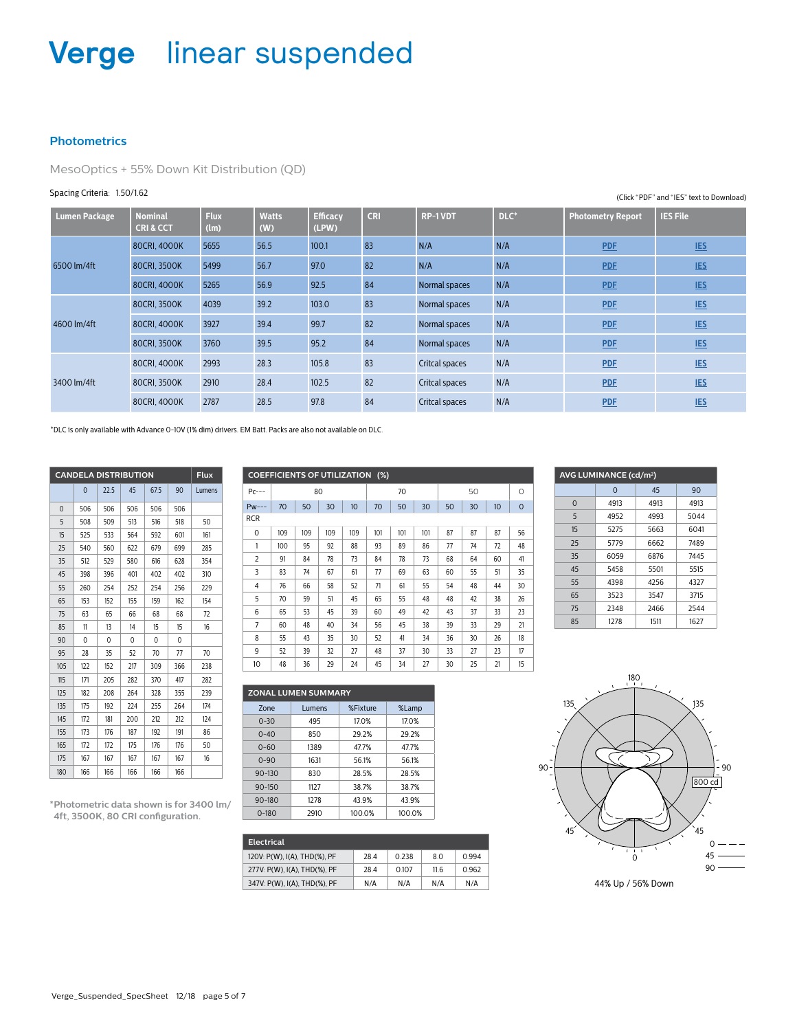### **Photometrics**

MesoOptics + 55% Down Kit Distribution (QD)

#### Spacing Criteria: 1.50/1.62

| <b>Lumen Package</b> | <b>Nominal</b><br><b>CRI&amp;CCT</b> | <b>Flux</b><br>(lm) | <b>Watts</b><br>(W) | <b>Efficacy</b><br>(LPW) | <b>CRI</b> | <b>RP-1VDT</b> | $DLC^*$ | <b>Photometry Report</b> | <b>IES File</b> |
|----------------------|--------------------------------------|---------------------|---------------------|--------------------------|------------|----------------|---------|--------------------------|-----------------|
|                      | 80CRI, 4000K                         | 5655                | 56.5                | 100.1                    | 83         | N/A            | N/A     | <b>PDF</b>               | <b>IES</b>      |
| 6500 lm/4ft          | 80CRI, 3500K                         | 5499                | 56.7                | 97.0                     | 82         | N/A            | N/A     | <b>PDF</b>               | <b>IES</b>      |
|                      | 80CRI, 4000K                         | 5265                | 56.9                | 92.5                     | 84         | Normal spaces  | N/A     | <b>PDF</b>               | <b>IES</b>      |
|                      | 80CRI, 3500K                         | 4039                | 39.2                | 103.0                    | 83         | Normal spaces  | N/A     | <b>PDF</b>               | <b>IES</b>      |
| 4600 lm/4ft          | 80CRI, 4000K                         | 3927                | 39.4                | 99.7                     | 82         | Normal spaces  | N/A     | <b>PDF</b>               | <b>IES</b>      |
|                      | 80CRI, 3500K                         | 3760                | 39.5                | 95.2                     | 84         | Normal spaces  | N/A     | <b>PDF</b>               | <b>IES</b>      |
|                      | 80CRI, 4000K                         | 2993                | 28.3                | 105.8                    | 83         | Critcal spaces | N/A     | <b>PDF</b>               | <b>IES</b>      |
| 3400 lm/4ft          | 80CRI, 3500K                         | 2910                | 28.4                | 102.5                    | 82         | Critcal spaces | N/A     | <b>PDF</b>               | <b>IES</b>      |
|                      | 80CRI, 4000K                         | 2787                | 28.5                | 97.8                     | 84         | Critcal spaces | N/A     | <b>PDF</b>               | <b>IES</b>      |

\*DLC is only available with Advance 0-10V (1% dim) drivers. EM Batt. Packs are also not available on DLC.

| <b>CANDELA DISTRIBUTION</b> | <b>Flux</b> |      |     |      |     |        |
|-----------------------------|-------------|------|-----|------|-----|--------|
|                             | $\mathbf 0$ | 22.5 | 45  | 67.5 | 90  | Lumens |
| $\Omega$                    | 506         | 506  | 506 | 506  | 506 |        |
| 5                           | 508         | 509  | 513 | 516  | 518 | 50     |
| 15                          | 525         | 533  | 564 | 592  | 601 | 161    |
| 25                          | 540         | 560  | 622 | 679  | 699 | 285    |
| 35                          | 512         | 529  | 580 | 616  | 628 | 354    |
| 45                          | 398         | 396  | 401 | 402  | 402 | 310    |
| 55                          | 260         | 254  | 252 | 254  | 256 | 229    |
| 65                          | 153         | 152  | 155 | 159  | 162 | 154    |
| 75                          | 63          | 65   | 66  | 68   | 68  | 72     |
| 85                          | 11          | 13   | 14  | 15   | 15  | 16     |
| 90                          | 0           | 0    | 0   | 0    | 0   |        |
| 95                          | 28          | 35   | 52  | 70   | 77  | 70     |
| 105                         | 122         | 152  | 217 | 309  | 366 | 238    |
| 115                         | 171         | 205  | 282 | 370  | 417 | 282    |
| 125                         | 182         | 208  | 264 | 328  | 355 | 239    |
| 135                         | 175         | 192  | 224 | 255  | 264 | 174    |
| 145                         | 172         | 181  | 200 | 212  | 212 | 124    |
| 155                         | 173         | 176  | 187 | 192  | 191 | 86     |
| 165                         | 172         | 172  | 175 | 176  | 176 | 50     |
| 175                         | 167         | 167  | 167 | 167  | 167 | 16     |
| 180                         | 166         | 166  | 166 | 166  | 166 |        |

| *Photometric data shown is for 3400 lm/ |  |
|-----------------------------------------|--|
| 4ft, 3500K, 80 CRI configuration.       |  |

|                | <b>COEFFICIENTS OF UTILIZATION</b><br>$(\%)$ |     |     |                  |     |     |     |    |    |    |             |  |
|----------------|----------------------------------------------|-----|-----|------------------|-----|-----|-----|----|----|----|-------------|--|
| $Pc---$        |                                              |     | 80  |                  | 70  |     |     | 50 |    |    | O           |  |
| $Pw---$        | 70                                           | 50  | 30  | 10 <sup>10</sup> | 70  | 50  | 30  | 50 | 30 | 10 | $\mathbf 0$ |  |
| <b>RCR</b>     |                                              |     |     |                  |     |     |     |    |    |    |             |  |
| 0              | 109                                          | 109 | 109 | 109              | 101 | 101 | 101 | 87 | 87 | 87 | 56          |  |
| 1              | 100                                          | 95  | 92  | 88               | 93  | 89  | 86  | 77 | 74 | 72 | 48          |  |
| $\overline{2}$ | 91                                           | 84  | 78  | 73               | 84  | 78  | 73  | 68 | 64 | 60 | 41          |  |
| 3              | 83                                           | 74  | 67  | 61               | 77  | 69  | 63  | 60 | 55 | 51 | 35          |  |
| 4              | 76                                           | 66  | 58  | 52               | 71  | 61  | 55  | 54 | 48 | 44 | 30          |  |
| 5              | 70                                           | 59  | 51  | 45               | 65  | 55  | 48  | 48 | 42 | 38 | 26          |  |
| 6              | 65                                           | 53  | 45  | 39               | 60  | 49  | 42  | 43 | 37 | 33 | 23          |  |
| $\overline{7}$ | 60                                           | 48  | 40  | 34               | 56  | 45  | 38  | 39 | 33 | 29 | 21          |  |
| 8              | 55                                           | 43  | 35  | 30               | 52  | 41  | 34  | 36 | 30 | 26 | 18          |  |
| 9              | 52                                           | 39  | 32  | 27               | 48  | 37  | 30  | 33 | 27 | 23 | 17          |  |
| 10             | 48                                           | 36  | 29  | 24               | 45  | 34  | 27  | 30 | 25 | 21 | 15          |  |

| <b>ZONAL LUMEN SUMMARY</b> |        |          |        |  |  |  |  |  |  |  |
|----------------------------|--------|----------|--------|--|--|--|--|--|--|--|
| Zone                       | Lumens | %Fixture | %Lamp  |  |  |  |  |  |  |  |
| $0 - 30$                   | 495    | 17.0%    | 17.0%  |  |  |  |  |  |  |  |
| $0 - 40$                   | 850    | 29.2%    | 29.2%  |  |  |  |  |  |  |  |
| 1389<br>$0 - 60$           |        | 47.7%    | 47.7%  |  |  |  |  |  |  |  |
| $0 - 90$                   | 1631   | 56.1%    | 56.1%  |  |  |  |  |  |  |  |
| $90 - 130$                 | 830    | 28.5%    | 28.5%  |  |  |  |  |  |  |  |
| $90 - 150$                 | 1127   | 38.7%    | 38.7%  |  |  |  |  |  |  |  |
| $90 - 180$                 | 1278   | 43.9%    | 43.9%  |  |  |  |  |  |  |  |
| $0 - 180$                  | 2910   | 100.0%   | 100.0% |  |  |  |  |  |  |  |

| <b>Electrical</b>            |      |       |      |       |  |  |  |  |  |
|------------------------------|------|-------|------|-------|--|--|--|--|--|
| 120V: P(W), I(A), THD(%), PF | 28.4 | 0.238 | 8.0  | 0.994 |  |  |  |  |  |
| 277V: P(W), I(A), THD(%), PF | 28.4 | 0.107 | 11.6 | 0.962 |  |  |  |  |  |
| 347V: P(W), I(A), THD(%), PF | N/A  | N/A   | N/A  | N/A   |  |  |  |  |  |

|          | AVG LUMINANCE (cd/m <sup>2</sup> ) |      |      |
|----------|------------------------------------|------|------|
|          | $\Omega$                           | 45   | 90   |
| $\Omega$ | 4913                               | 4913 | 4913 |
| 5        | 4952                               | 4993 | 5044 |
| 15       | 5275                               | 5663 | 6041 |
| 25       | 5779                               | 6662 | 7489 |
| 35       | 6059                               | 6876 | 7445 |
| 45       | 5458                               | 5501 | 5515 |
| 55       | 4398                               | 4256 | 4327 |
| 65       | 3523                               | 3547 | 3715 |
| 75       | 2348                               | 2466 | 2544 |
| 85       | 1278                               | 1511 | 1627 |



44% Up / 56% Down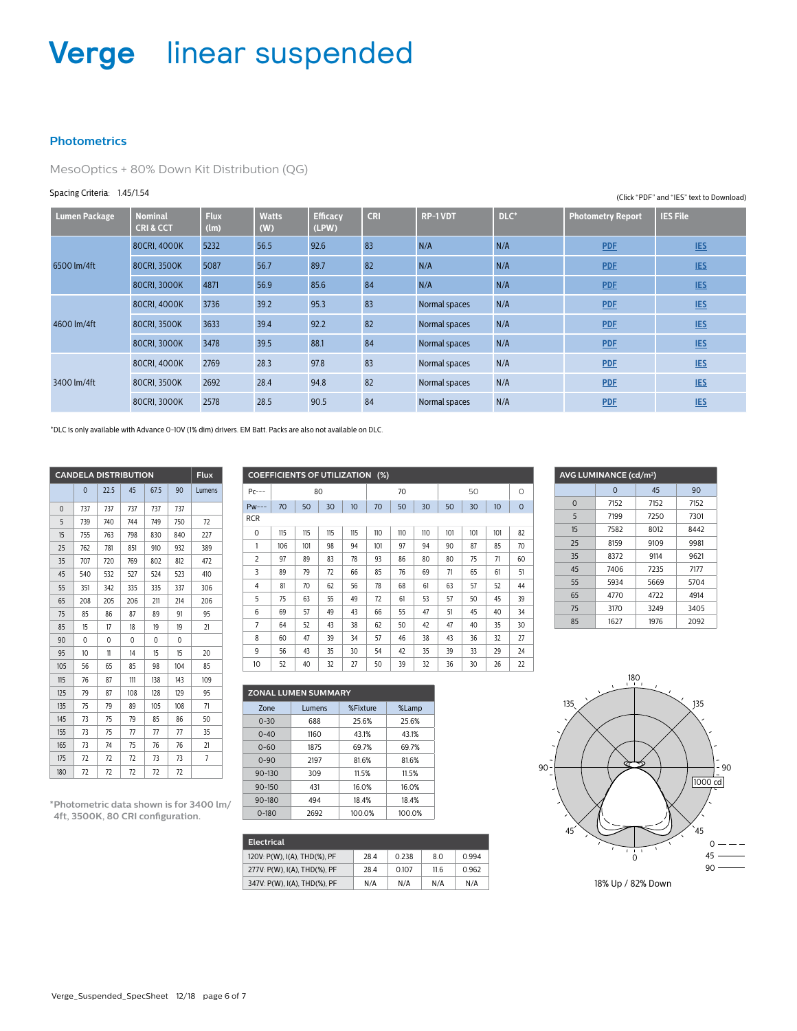#### **Photometrics**

MesoOptics + 80% Down Kit Distribution (QG)

#### Spacing Criteria: 1.45/1.54

| <b>Lumen Package</b> | <b>Nominal</b><br><b>CRI&amp;CCT</b> | <b>Flux</b><br>(lm) | <b>Watts</b><br>(W) | <b>Efficacy</b><br>(LPW) | <b>CRI</b> | <b>RP-1VDT</b> | DLC* | <b>Photometry Report</b> | <b>IES File</b> |
|----------------------|--------------------------------------|---------------------|---------------------|--------------------------|------------|----------------|------|--------------------------|-----------------|
|                      | 80CRI, 4000K                         | 5232                | 56.5                | 92.6                     | 83         | N/A            | N/A  | <b>PDF</b>               | <b>IES</b>      |
| 6500 lm/4ft          | 80CRI, 3500K                         | 5087                | 56.7                | 89.7                     | 82         | N/A            | N/A  | <b>PDF</b>               | <b>IES</b>      |
|                      | 80CRI, 3000K                         | 4871                | 56.9                | 85.6                     | 84         | N/A            | N/A  | <b>PDF</b>               | <b>IES</b>      |
|                      | 80CRI, 4000K                         | 3736                | 39.2                | 95.3                     | 83         | Normal spaces  | N/A  | <b>PDF</b>               | <b>IES</b>      |
| 4600 lm/4ft          | 80CRI, 3500K                         | 3633                | 39.4                | 92.2                     | 82         | Normal spaces  | N/A  | <b>PDF</b>               | <b>IES</b>      |
|                      | 80CRI, 3000K                         | 3478                | 39.5                | 88.1                     | 84         | Normal spaces  | N/A  | <b>PDF</b>               | <b>IES</b>      |
|                      | 80CRI, 4000K                         | 2769                | 28.3                | 97.8                     | 83         | Normal spaces  | N/A  | <b>PDF</b>               | <b>IES</b>      |
| 3400 lm/4ft          | 80CRI, 3500K                         | 2692                | 28.4                | 94.8                     | 82         | Normal spaces  | N/A  | <b>PDF</b>               | <b>IES</b>      |
|                      | 80CRI, 3000K                         | 2578                | 28.5                | 90.5                     | 84         | Normal spaces  | N/A  | <b>PDF</b>               | <b>IES</b>      |

\*DLC is only available with Advance 0-10V (1% dim) drivers. EM Batt. Packs are also not available on DLC.

|          | <b>CANDELA DISTRIBUTION</b> |      |          |      |          | <b>Flux</b> |
|----------|-----------------------------|------|----------|------|----------|-------------|
|          | $\mathbf 0$                 | 22.5 | 45       | 67.5 | 90       | Lumens      |
| $\Omega$ | 737                         | 737  | 737      | 737  | 737      |             |
| 5        | 739                         | 740  | 744      | 749  | 750      | 72          |
| 15       | 755                         | 763  | 798      | 830  | 840      | 227         |
| 25       | 762                         | 781  | 851      | 910  | 932      | 389         |
| 35       | 707                         | 720  | 769      | 802  | 812      | 472         |
| 45       | 540                         | 532  | 527      | 524  | 523      | 410         |
| 55       | 351                         | 342  | 335      | 335  | 337      | 306         |
| 65       | 208                         | 205  | 206      | 211  | 214      | 206         |
| 75       | 85                          | 86   | 87       | 89   | 91       | 95          |
| 85       | 15                          | 17   | 18       | 19   | 19       | 21          |
| 90       | 0                           | 0    | $\Omega$ | 0    | $\Omega$ |             |
| 95       | 10                          | 11   | 14       | 15   | 15       | 20          |
| 105      | 56                          | 65   | 85       | 98   | 104      | 85          |
| 115      | 76                          | 87   | 111      | 138  | 143      | 109         |
| 125      | 79                          | 87   | 108      | 128  | 129      | 95          |
| 135      | 75                          | 79   | 89       | 105  | 108      | 71          |
| 145      | 73                          | 75   | 79       | 85   | 86       | 50          |
| 155      | 73                          | 75   | 77       | 77   | 77       | 35          |
| 165      | 73                          | 74   | 75       | 76   | 76       | 21          |
| 175      | 72                          | 72   | 72       | 73   | 73       | 7           |
| 180      | 72                          | 72   | 72       | 72   | 72       |             |

**\*Photometric data shown is for 3400 lm/ 4ft, 3500K, 80 CRI configuration.**

| <b>COEFFICIENTS OF UTILIZATION (%)</b> |     |     |     |     |     |     |     |     |     |     |             |
|----------------------------------------|-----|-----|-----|-----|-----|-----|-----|-----|-----|-----|-------------|
| $Pc---$                                |     |     | 80  |     | 70  |     |     |     | 50  |     | $\circ$     |
| $Pw---$                                | 70  | 50  | 30  | 10  | 70  | 50  | 30  | 50  | 30  | 10  | $\mathbf 0$ |
| <b>RCR</b>                             |     |     |     |     |     |     |     |     |     |     |             |
| 0                                      | 115 | 115 | 115 | 115 | 110 | 110 | 110 | 101 | 101 | 101 | 82          |
| 1                                      | 106 | 101 | 98  | 94  | 101 | 97  | 94  | 90  | 87  | 85  | 70          |
| $\overline{2}$                         | 97  | 89  | 83  | 78  | 93  | 86  | 80  | 80  | 75  | 71  | 60          |
| 3                                      | 89  | 79  | 72  | 66  | 85  | 76  | 69  | 71  | 65  | 61  | 51          |
| 4                                      | 81  | 70  | 62  | 56  | 78  | 68  | 61  | 63  | 57  | 52  | 44          |
| 5                                      | 75  | 63  | 55  | 49  | 72  | 61  | 53  | 57  | 50  | 45  | 39          |
| 6                                      | 69  | 57  | 49  | 43  | 66  | 55  | 47  | 51  | 45  | 40  | 34          |
| $\overline{7}$                         | 64  | 52  | 43  | 38  | 62  | 50  | 42  | 47  | 40  | 35  | 30          |
| 8                                      | 60  | 47  | 39  | 34  | 57  | 46  | 38  | 43  | 36  | 32  | 27          |
| 9                                      | 56  | 43  | 35  | 30  | 54  | 42  | 35  | 39  | 33  | 29  | 24          |
| 10                                     | 52  | 40  | 32  | 27  | 50  | 39  | 32  | 36  | 30  | 26  | 22          |

|            | --        |                            | --   |          | -- |        | -- |
|------------|-----------|----------------------------|------|----------|----|--------|----|
|            |           |                            |      |          |    |        |    |
|            |           | <b>ZONAL LUMEN SUMMARY</b> |      |          |    |        |    |
| Zone       |           | Lumens                     |      | %Fixture |    | %Lamp  |    |
| $0 - 30$   |           | 688                        |      | 25.6%    |    | 25.6%  |    |
| $0 - 40$   |           | 1160                       |      | 43.1%    |    | 43.1%  |    |
| $0 - 60$   |           | 1875                       |      | 69.7%    |    | 69.7%  |    |
| $0 - 90$   |           | 2197                       |      | 81.6%    |    | 81.6%  |    |
| $90 - 130$ |           | 309                        |      | 11.5%    |    | 11.5%  |    |
| $90 - 150$ |           | 431                        |      | 16.0%    |    | 16.0%  |    |
| $90 - 180$ |           | 494                        |      | 18.4%    |    | 18.4%  |    |
|            | $0 - 180$ |                            | 2692 | 100.0%   |    | 100.0% |    |

| <b>Electrical</b>            |      |       |      |       |
|------------------------------|------|-------|------|-------|
| 120V: P(W), I(A), THD(%), PF | 28.4 | O 238 | 8.0  | 0.994 |
| 277V: P(W), I(A), THD(%), PF | 28.4 | 0.107 | 11.6 | 0.962 |
| 347V: P(W), I(A), THD(%), PF | N/A  | N/A   | N/A  | N/A   |

|          | AVG LUMINANCE (cd/m <sup>2</sup> ) |      |      |
|----------|------------------------------------|------|------|
|          | $\Omega$                           | 45   | 90   |
| $\Omega$ | 7152                               | 7152 | 7152 |
| 5        | 7199                               | 7250 | 7301 |
| 15       | 7582                               | 8012 | 8442 |
| 25       | 8159                               | 9109 | 9981 |
| 35       | 8372                               | 9114 | 9621 |
| 45       | 7406                               | 7235 | 7177 |
| 55       | 5934                               | 5669 | 5704 |
| 65       | 4770                               | 4722 | 4914 |
| 75       | 3170                               | 3249 | 3405 |
| 85       | 1627                               | 1976 | 2092 |



(Click "PDF" and "IES" text to Download)

Verge\_Suspended\_SpecSheet 12/18 page 6 of 7